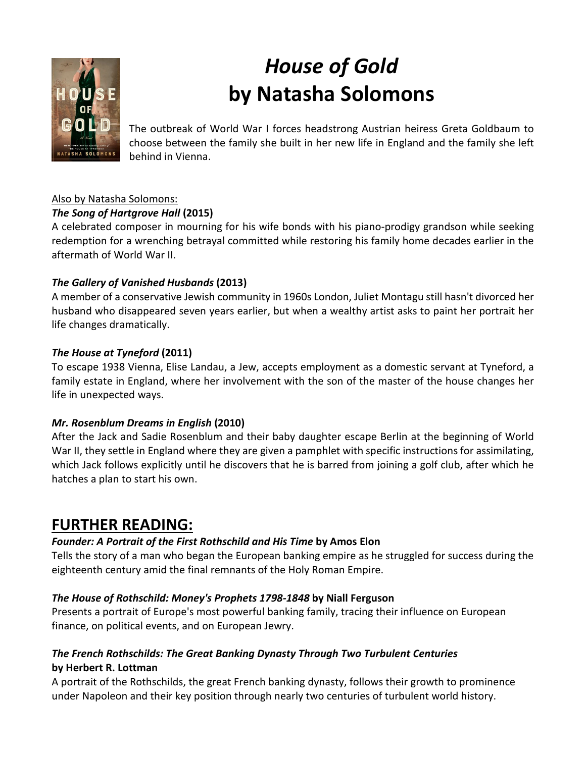

# *House of Gold* **by Natasha Solomons**

The outbreak of World War I forces headstrong Austrian heiress Greta Goldbaum to choose between the family she built in her new life in England and the family she left behind in Vienna.

#### Also by Natasha Solomons:

#### *The Song of Hartgrove Hall* **(2015)**

A celebrated composer in mourning for his wife bonds with his piano-prodigy grandson while seeking redemption for a wrenching betrayal committed while restoring his family home decades earlier in the aftermath of World War II.

#### *The Gallery of Vanished Husbands* **(2013)**

A member of a conservative Jewish community in 1960s London, Juliet Montagu still hasn't divorced her husband who disappeared seven years earlier, but when a wealthy artist asks to paint her portrait her life changes dramatically.

#### *The House at Tyneford* **(2011)**

To escape 1938 Vienna, Elise Landau, a Jew, accepts employment as a domestic servant at Tyneford, a family estate in England, where her involvement with the son of the master of the house changes her life in unexpected ways.

#### *Mr. Rosenblum Dreams in English* **(2010)**

After the Jack and Sadie Rosenblum and their baby daughter escape Berlin at the beginning of World War II, they settle in England where they are given a pamphlet with specific instructions for assimilating, which Jack follows explicitly until he discovers that he is barred from joining a golf club, after which he hatches a plan to start his own.

# **FURTHER READING:**

#### *Founder: A Portrait of the First Rothschild and His Time* **by Amos Elon**

Tells the story of a man who began the European banking empire as he struggled for success during the eighteenth century amid the final remnants of the Holy Roman Empire.

#### *The House of Rothschild: Money's Prophets 1798-1848* **by Niall Ferguson**

Presents a portrait of Europe's most powerful banking family, tracing their influence on European finance, on political events, and on European Jewry.

#### *The French Rothschilds: The Great Banking Dynasty Through Two Turbulent Centuries*  **by Herbert R. Lottman**

A portrait of the Rothschilds, the great French banking dynasty, follows their growth to prominence under Napoleon and their key position through nearly two centuries of turbulent world history.